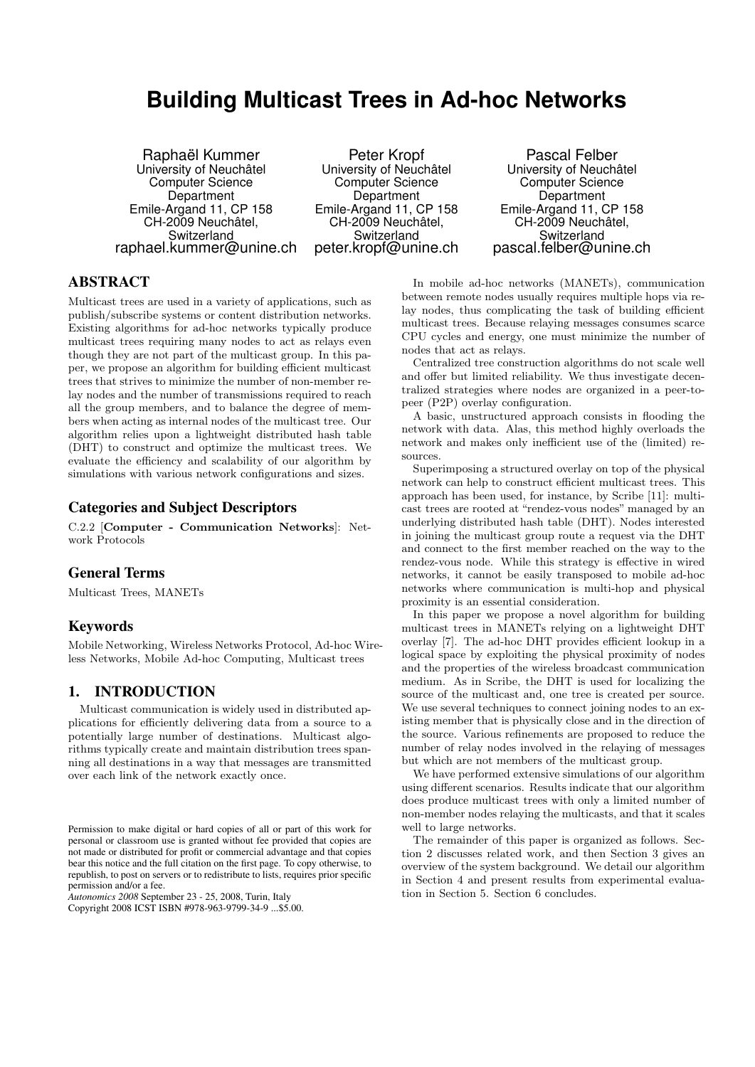# **Building Multicast Trees in Ad-hoc Networks**

Raphaël Kummer University of Neuchâtel Computer Science **Department** Emile-Argand 11, CP 158 CH-2009 Neuchâtel, Switzerland raphael.kummer@unine.ch

Peter Kropf University of Neuchâtel Computer Science Department Emile-Argand 11, CP 158 CH-2009 Neuchâtel, Switzerland peter.kropf@unine.ch

Pascal Felber University of Neuchâtel Computer Science Department Emile-Argand 11, CP 158 CH-2009 Neuchâtel, Switzerland pascal.felber@unine.ch

# ABSTRACT

Multicast trees are used in a variety of applications, such as publish/subscribe systems or content distribution networks. Existing algorithms for ad-hoc networks typically produce multicast trees requiring many nodes to act as relays even though they are not part of the multicast group. In this paper, we propose an algorithm for building efficient multicast trees that strives to minimize the number of non-member relay nodes and the number of transmissions required to reach all the group members, and to balance the degree of members when acting as internal nodes of the multicast tree. Our algorithm relies upon a lightweight distributed hash table (DHT) to construct and optimize the multicast trees. We evaluate the efficiency and scalability of our algorithm by simulations with various network configurations and sizes.

## Categories and Subject Descriptors

C.2.2 [Computer - Communication Networks]: Network Protocols

# General Terms

Multicast Trees, MANETs

#### Keywords

Mobile Networking, Wireless Networks Protocol, Ad-hoc Wireless Networks, Mobile Ad-hoc Computing, Multicast trees

# 1. INTRODUCTION

Multicast communication is widely used in distributed applications for efficiently delivering data from a source to a potentially large number of destinations. Multicast algorithms typically create and maintain distribution trees spanning all destinations in a way that messages are transmitted over each link of the network exactly once.

*Autonomics 2008* September 23 - 25, 2008, Turin, Italy

Copyright 2008 ICST ISBN #978-963-9799-34-9 ...\$5.00.

In mobile ad-hoc networks (MANETs), communication between remote nodes usually requires multiple hops via relay nodes, thus complicating the task of building efficient multicast trees. Because relaying messages consumes scarce CPU cycles and energy, one must minimize the number of nodes that act as relays.

Centralized tree construction algorithms do not scale well and offer but limited reliability. We thus investigate decentralized strategies where nodes are organized in a peer-topeer (P2P) overlay configuration.

A basic, unstructured approach consists in flooding the network with data. Alas, this method highly overloads the network and makes only inefficient use of the (limited) resources.

Superimposing a structured overlay on top of the physical network can help to construct efficient multicast trees. This approach has been used, for instance, by Scribe [11]: multicast trees are rooted at "rendez-vous nodes" managed by an underlying distributed hash table (DHT). Nodes interested in joining the multicast group route a request via the DHT and connect to the first member reached on the way to the rendez-vous node. While this strategy is effective in wired networks, it cannot be easily transposed to mobile ad-hoc networks where communication is multi-hop and physical proximity is an essential consideration.

In this paper we propose a novel algorithm for building multicast trees in MANETs relying on a lightweight DHT overlay [7]. The ad-hoc DHT provides efficient lookup in a logical space by exploiting the physical proximity of nodes and the properties of the wireless broadcast communication medium. As in Scribe, the DHT is used for localizing the source of the multicast and, one tree is created per source. We use several techniques to connect joining nodes to an existing member that is physically close and in the direction of the source. Various refinements are proposed to reduce the number of relay nodes involved in the relaying of messages but which are not members of the multicast group.

We have performed extensive simulations of our algorithm using different scenarios. Results indicate that our algorithm does produce multicast trees with only a limited number of non-member nodes relaying the multicasts, and that it scales well to large networks.

The remainder of this paper is organized as follows. Section 2 discusses related work, and then Section 3 gives an overview of the system background. We detail our algorithm in Section 4 and present results from experimental evaluation in Section 5. Section 6 concludes.

Permission to make digital or hard copies of all or part of this work for personal or classroom use is granted without fee provided that copies are not made or distributed for profit or commercial advantage and that copies bear this notice and the full citation on the first page. To copy otherwise, to republish, to post on servers or to redistribute to lists, requires prior specific permission and/or a fee.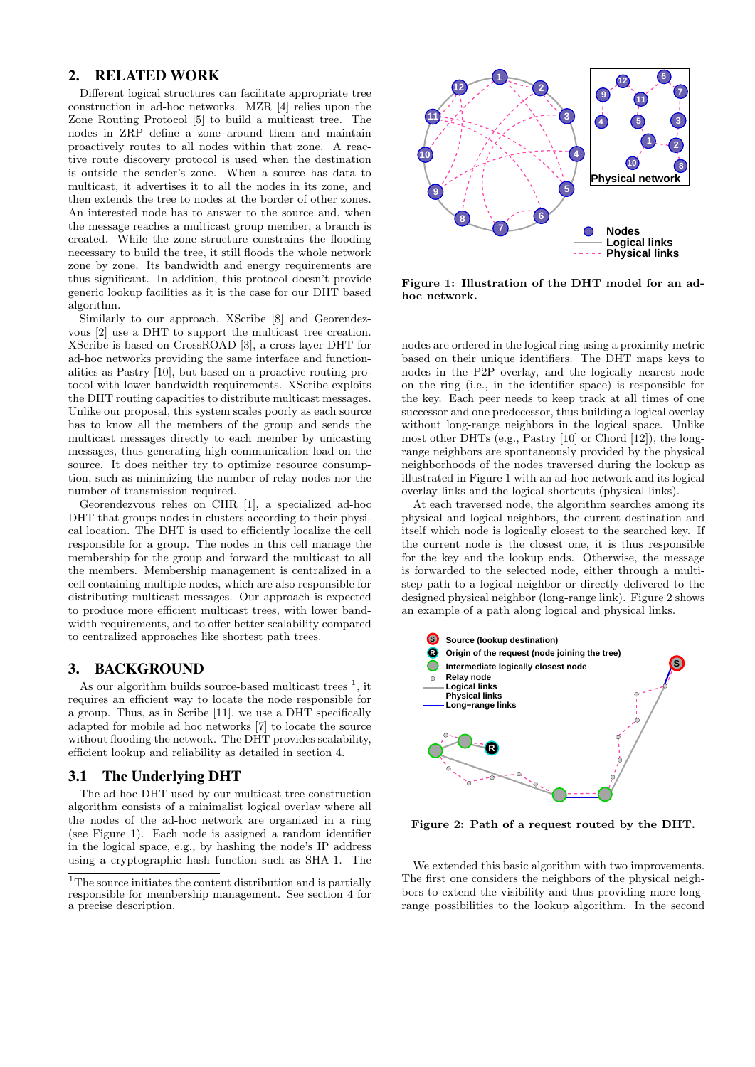# 2. RELATED WORK

Different logical structures can facilitate appropriate tree construction in ad-hoc networks. MZR [4] relies upon the Zone Routing Protocol [5] to build a multicast tree. The nodes in ZRP define a zone around them and maintain proactively routes to all nodes within that zone. A reactive route discovery protocol is used when the destination is outside the sender's zone. When a source has data to multicast, it advertises it to all the nodes in its zone, and then extends the tree to nodes at the border of other zones. An interested node has to answer to the source and, when the message reaches a multicast group member, a branch is created. While the zone structure constrains the flooding necessary to build the tree, it still floods the whole network zone by zone. Its bandwidth and energy requirements are thus significant. In addition, this protocol doesn't provide generic lookup facilities as it is the case for our DHT based algorithm.

Similarly to our approach, XScribe [8] and Georendezvous [2] use a DHT to support the multicast tree creation. XScribe is based on CrossROAD [3], a cross-layer DHT for ad-hoc networks providing the same interface and functionalities as Pastry [10], but based on a proactive routing protocol with lower bandwidth requirements. XScribe exploits the DHT routing capacities to distribute multicast messages. Unlike our proposal, this system scales poorly as each source has to know all the members of the group and sends the multicast messages directly to each member by unicasting messages, thus generating high communication load on the source. It does neither try to optimize resource consumption, such as minimizing the number of relay nodes nor the number of transmission required.

Georendezvous relies on CHR [1], a specialized ad-hoc DHT that groups nodes in clusters according to their physical location. The DHT is used to efficiently localize the cell responsible for a group. The nodes in this cell manage the membership for the group and forward the multicast to all the members. Membership management is centralized in a cell containing multiple nodes, which are also responsible for distributing multicast messages. Our approach is expected to produce more efficient multicast trees, with lower bandwidth requirements, and to offer better scalability compared to centralized approaches like shortest path trees.

## 3. BACKGROUND

As our algorithm builds source-based multicast trees  $<sup>1</sup>$ , it</sup> requires an efficient way to locate the node responsible for a group. Thus, as in Scribe [11], we use a DHT specifically adapted for mobile ad hoc networks [7] to locate the source without flooding the network. The DHT provides scalability, efficient lookup and reliability as detailed in section 4.

## 3.1 The Underlying DHT

The ad-hoc DHT used by our multicast tree construction algorithm consists of a minimalist logical overlay where all the nodes of the ad-hoc network are organized in a ring (see Figure 1). Each node is assigned a random identifier in the logical space, e.g., by hashing the node's IP address using a cryptographic hash function such as SHA-1. The



Figure 1: Illustration of the DHT model for an adhoc network.

nodes are ordered in the logical ring using a proximity metric based on their unique identifiers. The DHT maps keys to nodes in the P2P overlay, and the logically nearest node on the ring (i.e., in the identifier space) is responsible for the key. Each peer needs to keep track at all times of one successor and one predecessor, thus building a logical overlay without long-range neighbors in the logical space. Unlike most other DHTs (e.g., Pastry [10] or Chord [12]), the longrange neighbors are spontaneously provided by the physical neighborhoods of the nodes traversed during the lookup as illustrated in Figure 1 with an ad-hoc network and its logical overlay links and the logical shortcuts (physical links).

At each traversed node, the algorithm searches among its physical and logical neighbors, the current destination and itself which node is logically closest to the searched key. If the current node is the closest one, it is thus responsible for the key and the lookup ends. Otherwise, the message is forwarded to the selected node, either through a multistep path to a logical neighbor or directly delivered to the designed physical neighbor (long-range link). Figure 2 shows an example of a path along logical and physical links.



Figure 2: Path of a request routed by the DHT.

We extended this basic algorithm with two improvements. The first one considers the neighbors of the physical neighbors to extend the visibility and thus providing more longrange possibilities to the lookup algorithm. In the second

<sup>&</sup>lt;sup>1</sup>The source initiates the content distribution and is partially responsible for membership management. See section 4 for a precise description.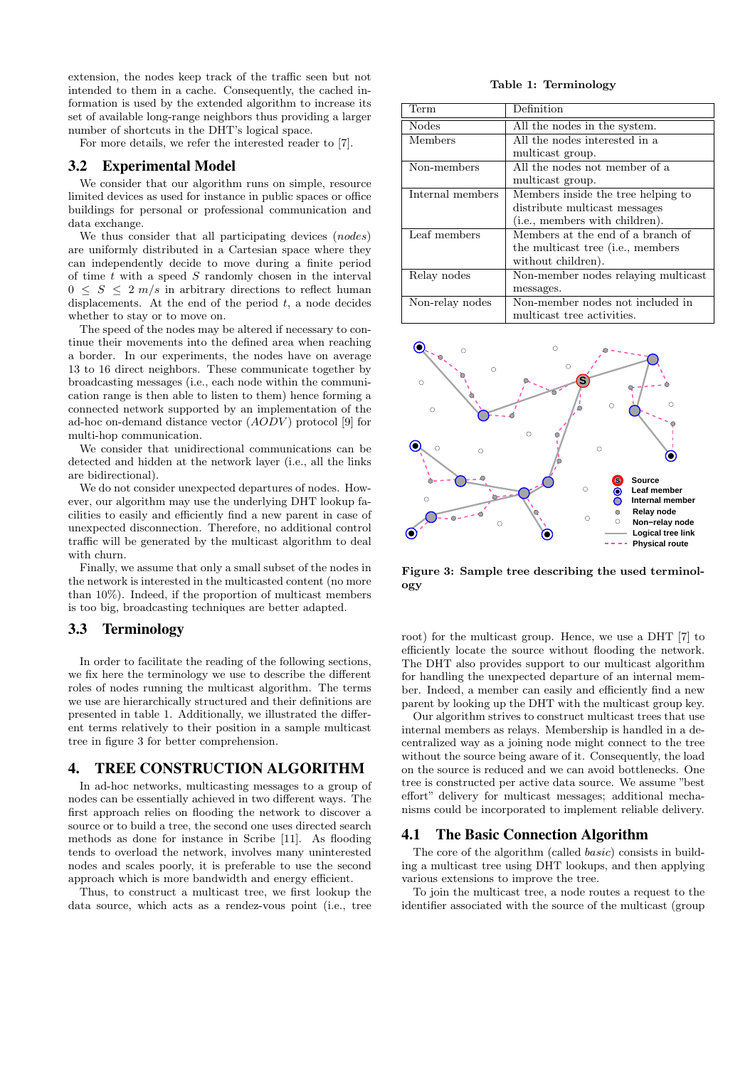extension, the nodes keep track of the traffic seen but not intended to them in a cache. Consequently, the cached information is used by the extended algorithm to increase its set of available long-range neighbors thus providing a larger number of shortcuts in the DHT's logical space.

For more details, we refer the interested reader to [7].

## 3.2 Experimental Model

We consider that our algorithm runs on simple, resource limited devices as used for instance in public spaces or office buildings for personal or professional communication and data exchange.

We thus consider that all participating devices (nodes) are uniformly distributed in a Cartesian space where they can independently decide to move during a finite period of time  $t$  with a speed  $S$  randomly chosen in the interval  $0 \leq S \leq 2 \frac{m}{s}$  in arbitrary directions to reflect human displacements. At the end of the period  $t$ , a node decides whether to stay or to move on.

The speed of the nodes may be altered if necessary to continue their movements into the defined area when reaching a border. In our experiments, the nodes have on average 13 to 16 direct neighbors. These communicate together by broadcasting messages (i.e., each node within the communication range is then able to listen to them) hence forming a connected network supported by an implementation of the ad-hoc on-demand distance vector  $(AODV)$  protocol [9] for multi-hop communication.

We consider that unidirectional communications can be detected and hidden at the network layer (i.e., all the links are bidirectional).

We do not consider unexpected departures of nodes. However, our algorithm may use the underlying DHT lookup facilities to easily and efficiently find a new parent in case of unexpected disconnection. Therefore, no additional control traffic will be generated by the multicast algorithm to deal with churn.

Finally, we assume that only a small subset of the nodes in the network is interested in the multicasted content (no more than 10%). Indeed, if the proportion of multicast members is too big, broadcasting techniques are better adapted.

## 3.3 Terminology

In order to facilitate the reading of the following sections, we fix here the terminology we use to describe the different roles of nodes running the multicast algorithm. The terms we use are hierarchically structured and their definitions are presented in table 1. Additionally, we illustrated the different terms relatively to their position in a sample multicast tree in figure 3 for better comprehension.

## 4. TREE CONSTRUCTION ALGORITHM

In ad-hoc networks, multicasting messages to a group of nodes can be essentially achieved in two different ways. The first approach relies on flooding the network to discover a source or to build a tree, the second one uses directed search methods as done for instance in Scribe [11]. As flooding tends to overload the network, involves many uninterested nodes and scales poorly, it is preferable to use the second approach which is more bandwidth and energy efficient.

Thus, to construct a multicast tree, we first lookup the data source, which acts as a rendez-vous point (i.e., tree

#### Table 1: Terminology

| Term             | Definition                                 |
|------------------|--------------------------------------------|
| <b>Nodes</b>     | All the nodes in the system.               |
| Members          | All the nodes interested in a              |
|                  | multicast group.                           |
| Non-members      | All the nodes not member of a              |
|                  | multicast group.                           |
| Internal members | Members inside the tree helping to         |
|                  | distribute multicast messages              |
|                  | ( <i>i.e.</i> , members with children).    |
| Leaf members     | Members at the end of a branch of          |
|                  | the multicast tree ( <i>i.e.</i> , members |
|                  | without children).                         |
| Relay nodes      | Non-member nodes relaying multicast        |
|                  | messages.                                  |
| Non-relay nodes  | Non-member nodes not included in           |
|                  | multicast tree activities.                 |



Figure 3: Sample tree describing the used terminology

root) for the multicast group. Hence, we use a DHT [7] to efficiently locate the source without flooding the network. The DHT also provides support to our multicast algorithm for handling the unexpected departure of an internal member. Indeed, a member can easily and efficiently find a new parent by looking up the DHT with the multicast group key.

Our algorithm strives to construct multicast trees that use internal members as relays. Membership is handled in a decentralized way as a joining node might connect to the tree without the source being aware of it. Consequently, the load on the source is reduced and we can avoid bottlenecks. One tree is constructed per active data source. We assume "best effort" delivery for multicast messages; additional mechanisms could be incorporated to implement reliable delivery.

#### 4.1 The Basic Connection Algorithm

The core of the algorithm (called basic) consists in building a multicast tree using DHT lookups, and then applying various extensions to improve the tree.

To join the multicast tree, a node routes a request to the identifier associated with the source of the multicast (group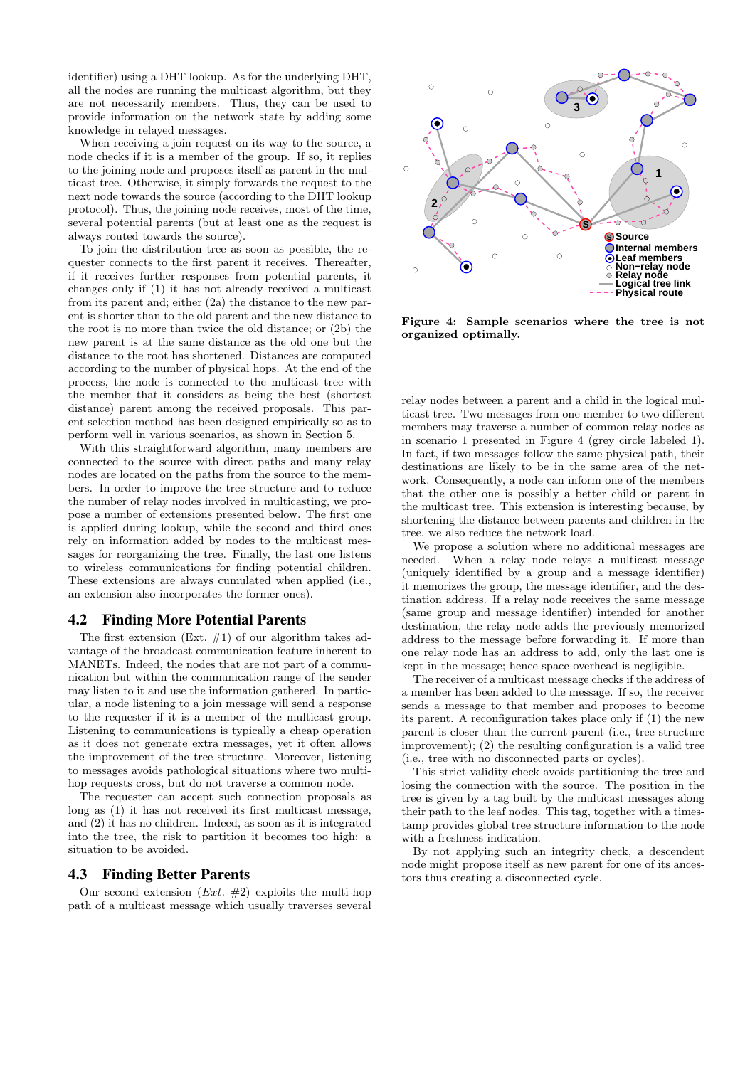identifier) using a DHT lookup. As for the underlying DHT, all the nodes are running the multicast algorithm, but they are not necessarily members. Thus, they can be used to provide information on the network state by adding some knowledge in relayed messages.

When receiving a join request on its way to the source, a node checks if it is a member of the group. If so, it replies to the joining node and proposes itself as parent in the multicast tree. Otherwise, it simply forwards the request to the next node towards the source (according to the DHT lookup protocol). Thus, the joining node receives, most of the time, several potential parents (but at least one as the request is always routed towards the source).

To join the distribution tree as soon as possible, the requester connects to the first parent it receives. Thereafter, if it receives further responses from potential parents, it changes only if (1) it has not already received a multicast from its parent and; either (2a) the distance to the new parent is shorter than to the old parent and the new distance to the root is no more than twice the old distance; or (2b) the new parent is at the same distance as the old one but the distance to the root has shortened. Distances are computed according to the number of physical hops. At the end of the process, the node is connected to the multicast tree with the member that it considers as being the best (shortest distance) parent among the received proposals. This parent selection method has been designed empirically so as to perform well in various scenarios, as shown in Section 5.

With this straightforward algorithm, many members are connected to the source with direct paths and many relay nodes are located on the paths from the source to the members. In order to improve the tree structure and to reduce the number of relay nodes involved in multicasting, we propose a number of extensions presented below. The first one is applied during lookup, while the second and third ones rely on information added by nodes to the multicast messages for reorganizing the tree. Finally, the last one listens to wireless communications for finding potential children. These extensions are always cumulated when applied (i.e., an extension also incorporates the former ones).

#### 4.2 Finding More Potential Parents

The first extension  $(Ext. \#1)$  of our algorithm takes advantage of the broadcast communication feature inherent to MANETs. Indeed, the nodes that are not part of a communication but within the communication range of the sender may listen to it and use the information gathered. In particular, a node listening to a join message will send a response to the requester if it is a member of the multicast group. Listening to communications is typically a cheap operation as it does not generate extra messages, yet it often allows the improvement of the tree structure. Moreover, listening to messages avoids pathological situations where two multihop requests cross, but do not traverse a common node.

The requester can accept such connection proposals as long as (1) it has not received its first multicast message, and (2) it has no children. Indeed, as soon as it is integrated into the tree, the risk to partition it becomes too high: a situation to be avoided.

#### 4.3 Finding Better Parents

Our second extension  $(Ext. \#2)$  exploits the multi-hop path of a multicast message which usually traverses several



Figure 4: Sample scenarios where the tree is not organized optimally.

relay nodes between a parent and a child in the logical multicast tree. Two messages from one member to two different members may traverse a number of common relay nodes as in scenario 1 presented in Figure 4 (grey circle labeled 1). In fact, if two messages follow the same physical path, their destinations are likely to be in the same area of the network. Consequently, a node can inform one of the members that the other one is possibly a better child or parent in the multicast tree. This extension is interesting because, by shortening the distance between parents and children in the tree, we also reduce the network load.

We propose a solution where no additional messages are needed. When a relay node relays a multicast message (uniquely identified by a group and a message identifier) it memorizes the group, the message identifier, and the destination address. If a relay node receives the same message (same group and message identifier) intended for another destination, the relay node adds the previously memorized address to the message before forwarding it. If more than one relay node has an address to add, only the last one is kept in the message; hence space overhead is negligible.

The receiver of a multicast message checks if the address of a member has been added to the message. If so, the receiver sends a message to that member and proposes to become its parent. A reconfiguration takes place only if (1) the new parent is closer than the current parent (i.e., tree structure improvement); (2) the resulting configuration is a valid tree (i.e., tree with no disconnected parts or cycles).

This strict validity check avoids partitioning the tree and losing the connection with the source. The position in the tree is given by a tag built by the multicast messages along their path to the leaf nodes. This tag, together with a timestamp provides global tree structure information to the node with a freshness indication.

By not applying such an integrity check, a descendent node might propose itself as new parent for one of its ancestors thus creating a disconnected cycle.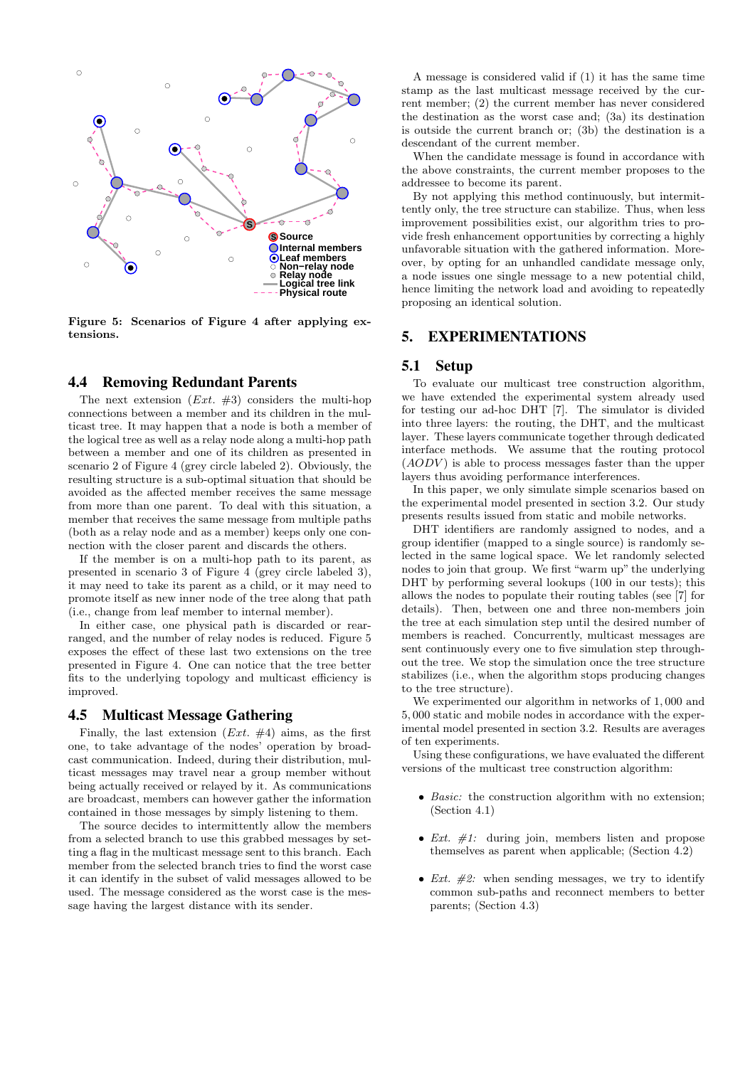

Figure 5: Scenarios of Figure 4 after applying extensions.

### 4.4 Removing Redundant Parents

The next extension  $(Ext. #3)$  considers the multi-hop connections between a member and its children in the multicast tree. It may happen that a node is both a member of the logical tree as well as a relay node along a multi-hop path between a member and one of its children as presented in scenario 2 of Figure 4 (grey circle labeled 2). Obviously, the resulting structure is a sub-optimal situation that should be avoided as the affected member receives the same message from more than one parent. To deal with this situation, a member that receives the same message from multiple paths (both as a relay node and as a member) keeps only one connection with the closer parent and discards the others.

If the member is on a multi-hop path to its parent, as presented in scenario 3 of Figure 4 (grey circle labeled 3), it may need to take its parent as a child, or it may need to promote itself as new inner node of the tree along that path (i.e., change from leaf member to internal member).

In either case, one physical path is discarded or rearranged, and the number of relay nodes is reduced. Figure 5 exposes the effect of these last two extensions on the tree presented in Figure 4. One can notice that the tree better fits to the underlying topology and multicast efficiency is improved.

## 4.5 Multicast Message Gathering

Finally, the last extension  $(Ext. \#4)$  aims, as the first one, to take advantage of the nodes' operation by broadcast communication. Indeed, during their distribution, multicast messages may travel near a group member without being actually received or relayed by it. As communications are broadcast, members can however gather the information contained in those messages by simply listening to them.

The source decides to intermittently allow the members from a selected branch to use this grabbed messages by setting a flag in the multicast message sent to this branch. Each member from the selected branch tries to find the worst case it can identify in the subset of valid messages allowed to be used. The message considered as the worst case is the message having the largest distance with its sender.

A message is considered valid if (1) it has the same time stamp as the last multicast message received by the current member; (2) the current member has never considered the destination as the worst case and; (3a) its destination is outside the current branch or; (3b) the destination is a descendant of the current member.

When the candidate message is found in accordance with the above constraints, the current member proposes to the addressee to become its parent.

By not applying this method continuously, but intermittently only, the tree structure can stabilize. Thus, when less improvement possibilities exist, our algorithm tries to provide fresh enhancement opportunities by correcting a highly unfavorable situation with the gathered information. Moreover, by opting for an unhandled candidate message only, a node issues one single message to a new potential child, hence limiting the network load and avoiding to repeatedly proposing an identical solution.

#### 5. EXPERIMENTATIONS

#### 5.1 Setup

To evaluate our multicast tree construction algorithm, we have extended the experimental system already used for testing our ad-hoc DHT [7]. The simulator is divided into three layers: the routing, the DHT, and the multicast layer. These layers communicate together through dedicated interface methods. We assume that the routing protocol  $(AODV)$  is able to process messages faster than the upper layers thus avoiding performance interferences.

In this paper, we only simulate simple scenarios based on the experimental model presented in section 3.2. Our study presents results issued from static and mobile networks.

DHT identifiers are randomly assigned to nodes, and a group identifier (mapped to a single source) is randomly selected in the same logical space. We let randomly selected nodes to join that group. We first "warm up" the underlying DHT by performing several lookups (100 in our tests); this allows the nodes to populate their routing tables (see [7] for details). Then, between one and three non-members join the tree at each simulation step until the desired number of members is reached. Concurrently, multicast messages are sent continuously every one to five simulation step throughout the tree. We stop the simulation once the tree structure stabilizes (i.e., when the algorithm stops producing changes to the tree structure).

We experimented our algorithm in networks of 1, 000 and 5, 000 static and mobile nodes in accordance with the experimental model presented in section 3.2. Results are averages of ten experiments.

Using these configurations, we have evaluated the different versions of the multicast tree construction algorithm:

- Basic: the construction algorithm with no extension; (Section 4.1)
- *Ext.*  $\#1$ : during join, members listen and propose themselves as parent when applicable; (Section 4.2)
- *Ext.*  $\#2$ : when sending messages, we try to identify common sub-paths and reconnect members to better parents; (Section 4.3)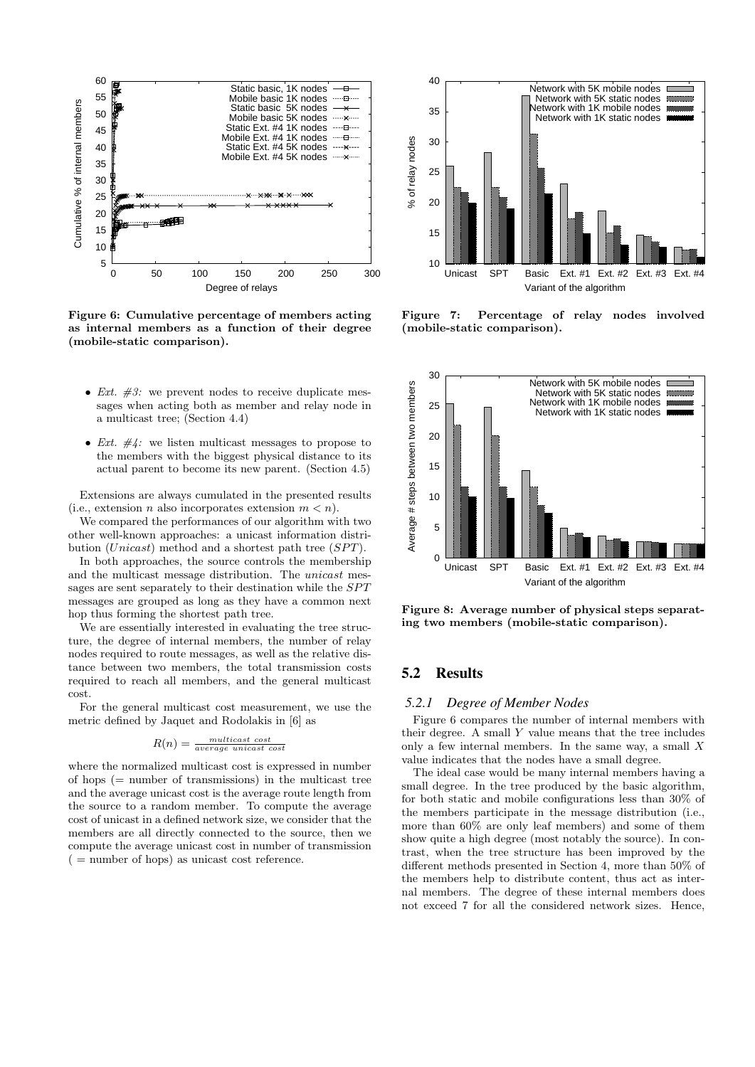

Figure 6: Cumulative percentage of members acting as internal members as a function of their degree (mobile-static comparison).

- *Ext.*  $\#3$ : we prevent nodes to receive duplicate messages when acting both as member and relay node in a multicast tree; (Section 4.4)
- Ext.  $\#4$ : we listen multicast messages to propose to the members with the biggest physical distance to its actual parent to become its new parent. (Section 4.5)

Extensions are always cumulated in the presented results (i.e., extension n also incorporates extension  $m < n$ ).

We compared the performances of our algorithm with two other well-known approaches: a unicast information distribution (*Unicast*) method and a shortest path tree  $(SPT)$ .

In both approaches, the source controls the membership and the multicast message distribution. The unicast messages are sent separately to their destination while the SPT messages are grouped as long as they have a common next hop thus forming the shortest path tree.

We are essentially interested in evaluating the tree structure, the degree of internal members, the number of relay nodes required to route messages, as well as the relative distance between two members, the total transmission costs required to reach all members, and the general multicast cost.

For the general multicast cost measurement, we use the metric defined by Jaquet and Rodolakis in [6] as

$$
R(n) = \frac{multicast\ cost}{average\ unicast\ cost}
$$

where the normalized multicast cost is expressed in number of hops (= number of transmissions) in the multicast tree and the average unicast cost is the average route length from the source to a random member. To compute the average cost of unicast in a defined network size, we consider that the members are all directly connected to the source, then we compute the average unicast cost in number of transmission  $($  = number of hops) as unicast cost reference.



Figure 7: Percentage of relay nodes involved (mobile-static comparison).



Figure 8: Average number of physical steps separating two members (mobile-static comparison).

# 5.2 Results

#### *5.2.1 Degree of Member Nodes*

Figure 6 compares the number of internal members with their degree. A small  $Y$  value means that the tree includes only a few internal members. In the same way, a small  $X$ value indicates that the nodes have a small degree.

The ideal case would be many internal members having a small degree. In the tree produced by the basic algorithm, for both static and mobile configurations less than 30% of the members participate in the message distribution (i.e., more than 60% are only leaf members) and some of them show quite a high degree (most notably the source). In contrast, when the tree structure has been improved by the different methods presented in Section 4, more than 50% of the members help to distribute content, thus act as internal members. The degree of these internal members does not exceed 7 for all the considered network sizes. Hence,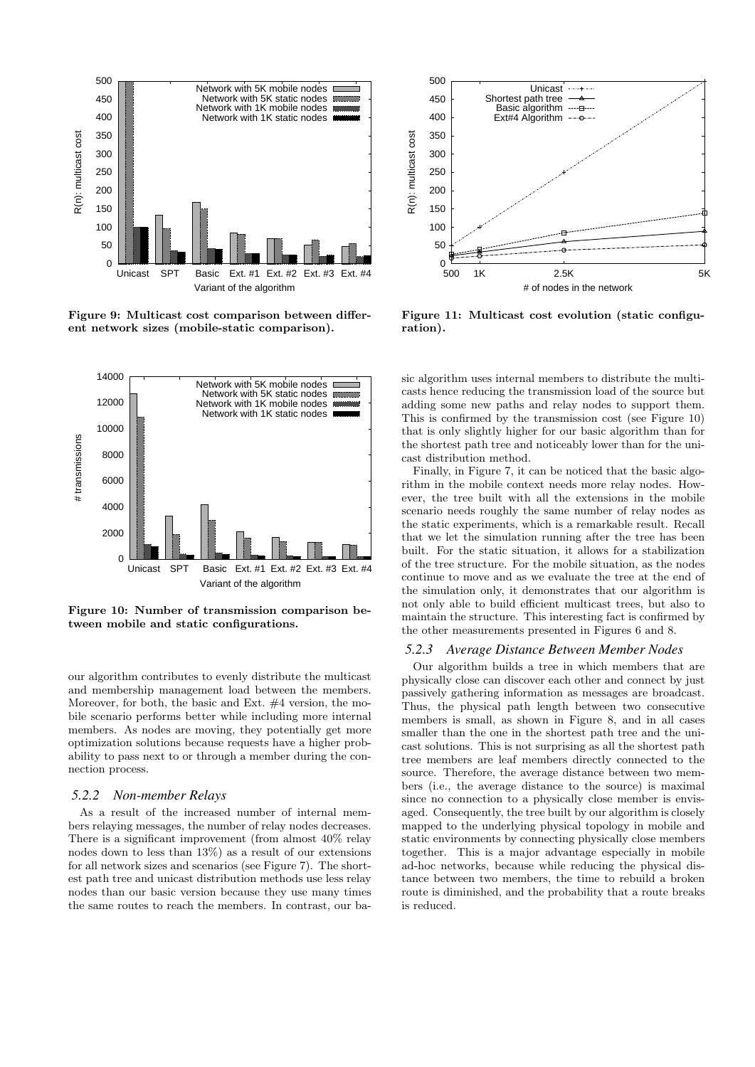

Figure 9: Multicast cost comparison between different network sizes (mobile-static comparison).



Figure 10: Number of transmission comparison between mobile and static configurations.

our algorithm contributes to evenly distribute the multicast and membership management load between the members. Moreover, for both, the basic and Ext. #4 version, the mobile scenario performs better while including more internal members. As nodes are moving, they potentially get more optimization solutions because requests have a higher probability to pass next to or through a member during the connection process.

#### *5.2.2 Non-member Relays*

As a result of the increased number of internal members relaying messages, the number of relay nodes decreases. There is a significant improvement (from almost 40% relay nodes down to less than 13%) as a result of our extensions for all network sizes and scenarios (see Figure 7). The shortest path tree and unicast distribution methods use less relay nodes than our basic version because they use many times the same routes to reach the members. In contrast, our ba-



Figure 11: Multicast cost evolution (static configuration).

sic algorithm uses internal members to distribute the multicasts hence reducing the transmission load of the source but adding some new paths and relay nodes to support them. This is confirmed by the transmission cost (see Figure 10) that is only slightly higher for our basic algorithm than for the shortest path tree and noticeably lower than for the unicast distribution method.

Finally, in Figure 7, it can be noticed that the basic algorithm in the mobile context needs more relay nodes. However, the tree built with all the extensions in the mobile scenario needs roughly the same number of relay nodes as the static experiments, which is a remarkable result. Recall that we let the simulation running after the tree has been built. For the static situation, it allows for a stabilization of the tree structure. For the mobile situation, as the nodes continue to move and as we evaluate the tree at the end of the simulation only, it demonstrates that our algorithm is not only able to build efficient multicast trees, but also to maintain the structure. This interesting fact is confirmed by the other measurements presented in Figures 6 and 8.

#### *5.2.3 Average Distance Between Member Nodes*

Our algorithm builds a tree in which members that are physically close can discover each other and connect by just passively gathering information as messages are broadcast. Thus, the physical path length between two consecutive members is small, as shown in Figure 8, and in all cases smaller than the one in the shortest path tree and the unicast solutions. This is not surprising as all the shortest path tree members are leaf members directly connected to the source. Therefore, the average distance between two members (i.e., the average distance to the source) is maximal since no connection to a physically close member is envisaged. Consequently, the tree built by our algorithm is closely mapped to the underlying physical topology in mobile and static environments by connecting physically close members together. This is a major advantage especially in mobile ad-hoc networks, because while reducing the physical distance between two members, the time to rebuild a broken route is diminished, and the probability that a route breaks is reduced.